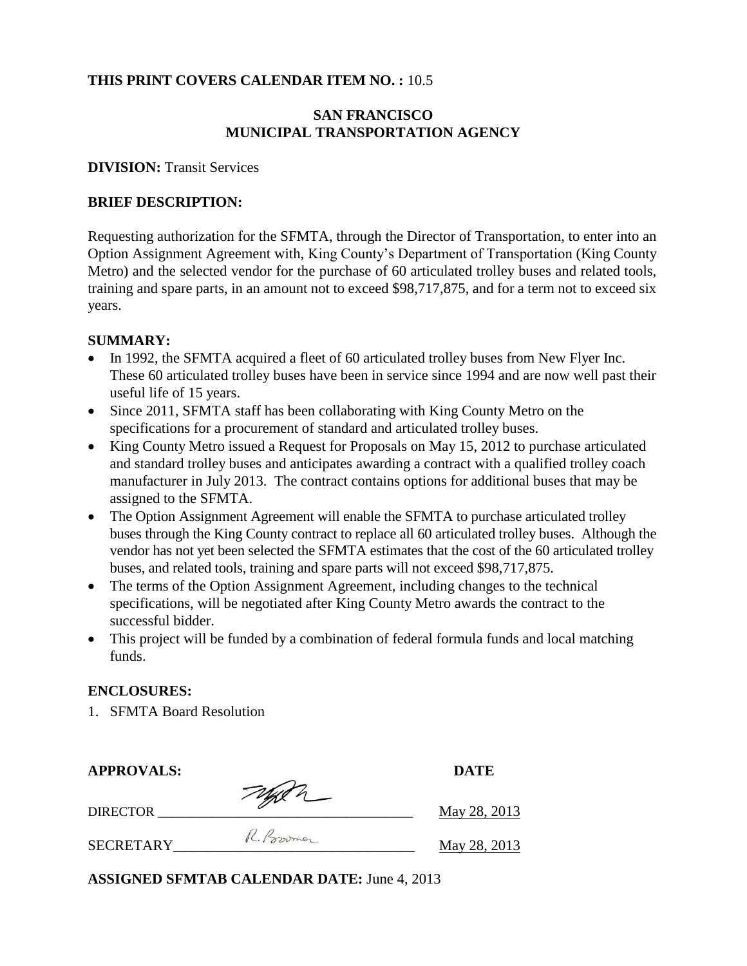### **THIS PRINT COVERS CALENDAR ITEM NO. :** 10.5

### **SAN FRANCISCO MUNICIPAL TRANSPORTATION AGENCY**

#### **DIVISION:** Transit Services

## **BRIEF DESCRIPTION:**

Requesting authorization for the SFMTA, through the Director of Transportation, to enter into an Option Assignment Agreement with, King County's Department of Transportation (King County Metro) and the selected vendor for the purchase of 60 articulated trolley buses and related tools, training and spare parts, in an amount not to exceed \$98,717,875, and for a term not to exceed six years.

### **SUMMARY:**

- In 1992, the SFMTA acquired a fleet of 60 articulated trolley buses from New Flyer Inc. These 60 articulated trolley buses have been in service since 1994 and are now well past their useful life of 15 years.
- Since 2011, SFMTA staff has been collaborating with King County Metro on the specifications for a procurement of standard and articulated trolley buses.
- King County Metro issued a Request for Proposals on May 15, 2012 to purchase articulated and standard trolley buses and anticipates awarding a contract with a qualified trolley coach manufacturer in July 2013. The contract contains options for additional buses that may be assigned to the SFMTA.
- The Option Assignment Agreement will enable the SFMTA to purchase articulated trolley buses through the King County contract to replace all 60 articulated trolley buses. Although the vendor has not yet been selected the SFMTA estimates that the cost of the 60 articulated trolley buses, and related tools, training and spare parts will not exceed \$98,717,875.
- The terms of the Option Assignment Agreement, including changes to the technical specifications, will be negotiated after King County Metro awards the contract to the successful bidder.
- This project will be funded by a combination of federal formula funds and local matching funds.

## **ENCLOSURES:**

1. SFMTA Board Resolution

| <b>APPROVALS:</b> |             | <b>DATE</b>  |
|-------------------|-------------|--------------|
| <b>DIRECTOR</b>   | Typen       | May 28, 2013 |
| <b>SECRETARY</b>  | R. Province | May 28, 2013 |

**ASSIGNED SFMTAB CALENDAR DATE:** June 4, 2013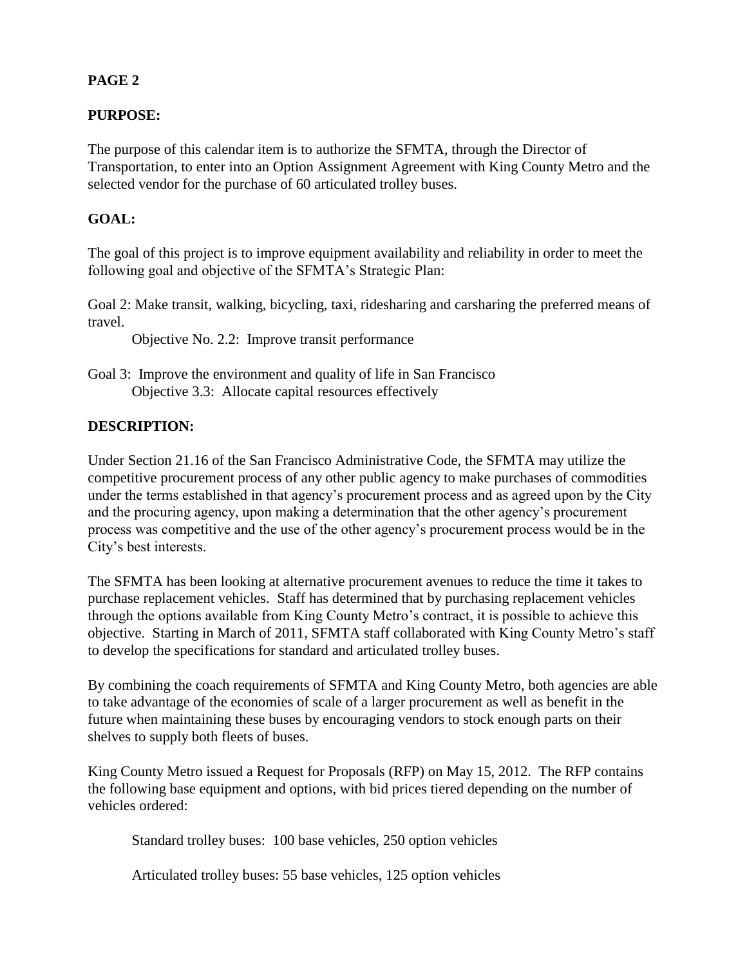# **PAGE 2**

# **PURPOSE:**

The purpose of this calendar item is to authorize the SFMTA, through the Director of Transportation, to enter into an Option Assignment Agreement with King County Metro and the selected vendor for the purchase of 60 articulated trolley buses.

# **GOAL:**

The goal of this project is to improve equipment availability and reliability in order to meet the following goal and objective of the SFMTA's Strategic Plan:

Goal 2: Make transit, walking, bicycling, taxi, ridesharing and carsharing the preferred means of travel.

Objective No. 2.2: Improve transit performance

Goal 3: Improve the environment and quality of life in San Francisco Objective 3.3: Allocate capital resources effectively

# **DESCRIPTION:**

Under Section 21.16 of the San Francisco Administrative Code, the SFMTA may utilize the competitive procurement process of any other public agency to make purchases of commodities under the terms established in that agency's procurement process and as agreed upon by the City and the procuring agency, upon making a determination that the other agency's procurement process was competitive and the use of the other agency's procurement process would be in the City's best interests.

The SFMTA has been looking at alternative procurement avenues to reduce the time it takes to purchase replacement vehicles. Staff has determined that by purchasing replacement vehicles through the options available from King County Metro's contract, it is possible to achieve this objective. Starting in March of 2011, SFMTA staff collaborated with King County Metro's staff to develop the specifications for standard and articulated trolley buses.

By combining the coach requirements of SFMTA and King County Metro, both agencies are able to take advantage of the economies of scale of a larger procurement as well as benefit in the future when maintaining these buses by encouraging vendors to stock enough parts on their shelves to supply both fleets of buses.

King County Metro issued a Request for Proposals (RFP) on May 15, 2012. The RFP contains the following base equipment and options, with bid prices tiered depending on the number of vehicles ordered:

Standard trolley buses: 100 base vehicles, 250 option vehicles

Articulated trolley buses: 55 base vehicles, 125 option vehicles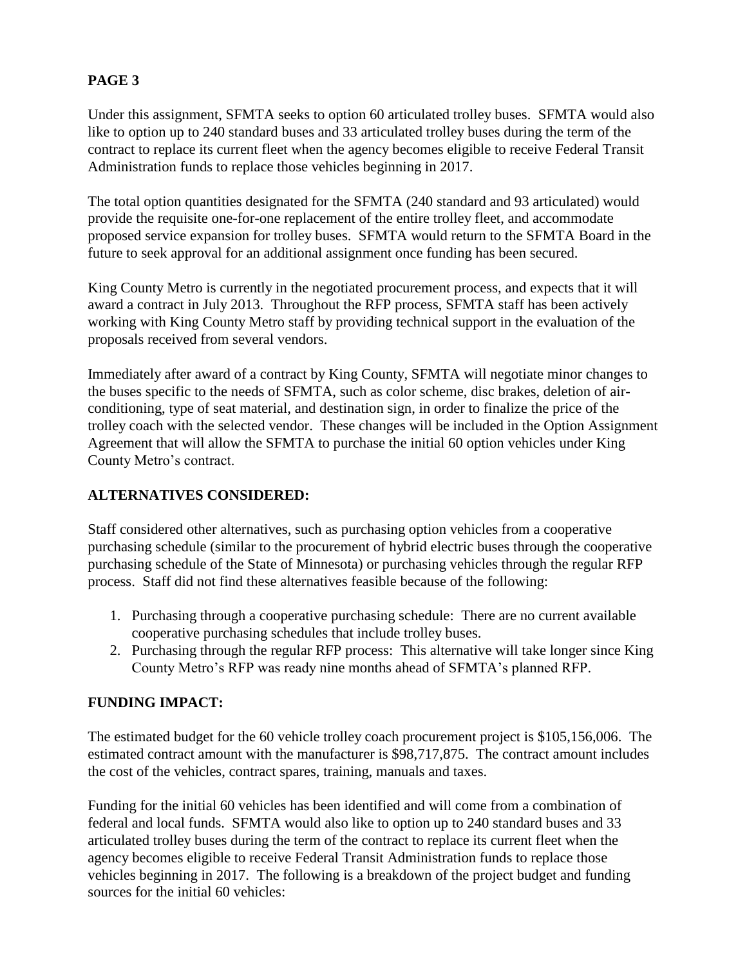# **PAGE 3**

Under this assignment, SFMTA seeks to option 60 articulated trolley buses. SFMTA would also like to option up to 240 standard buses and 33 articulated trolley buses during the term of the contract to replace its current fleet when the agency becomes eligible to receive Federal Transit Administration funds to replace those vehicles beginning in 2017.

The total option quantities designated for the SFMTA (240 standard and 93 articulated) would provide the requisite one-for-one replacement of the entire trolley fleet, and accommodate proposed service expansion for trolley buses. SFMTA would return to the SFMTA Board in the future to seek approval for an additional assignment once funding has been secured.

King County Metro is currently in the negotiated procurement process, and expects that it will award a contract in July 2013. Throughout the RFP process, SFMTA staff has been actively working with King County Metro staff by providing technical support in the evaluation of the proposals received from several vendors.

Immediately after award of a contract by King County, SFMTA will negotiate minor changes to the buses specific to the needs of SFMTA, such as color scheme, disc brakes, deletion of airconditioning, type of seat material, and destination sign, in order to finalize the price of the trolley coach with the selected vendor. These changes will be included in the Option Assignment Agreement that will allow the SFMTA to purchase the initial 60 option vehicles under King County Metro's contract.

# **ALTERNATIVES CONSIDERED:**

Staff considered other alternatives, such as purchasing option vehicles from a cooperative purchasing schedule (similar to the procurement of hybrid electric buses through the cooperative purchasing schedule of the State of Minnesota) or purchasing vehicles through the regular RFP process. Staff did not find these alternatives feasible because of the following:

- 1. Purchasing through a cooperative purchasing schedule: There are no current available cooperative purchasing schedules that include trolley buses.
- 2. Purchasing through the regular RFP process: This alternative will take longer since King County Metro's RFP was ready nine months ahead of SFMTA's planned RFP.

## **FUNDING IMPACT:**

The estimated budget for the 60 vehicle trolley coach procurement project is \$105,156,006. The estimated contract amount with the manufacturer is \$98,717,875. The contract amount includes the cost of the vehicles, contract spares, training, manuals and taxes.

Funding for the initial 60 vehicles has been identified and will come from a combination of federal and local funds. SFMTA would also like to option up to 240 standard buses and 33 articulated trolley buses during the term of the contract to replace its current fleet when the agency becomes eligible to receive Federal Transit Administration funds to replace those vehicles beginning in 2017. The following is a breakdown of the project budget and funding sources for the initial 60 vehicles: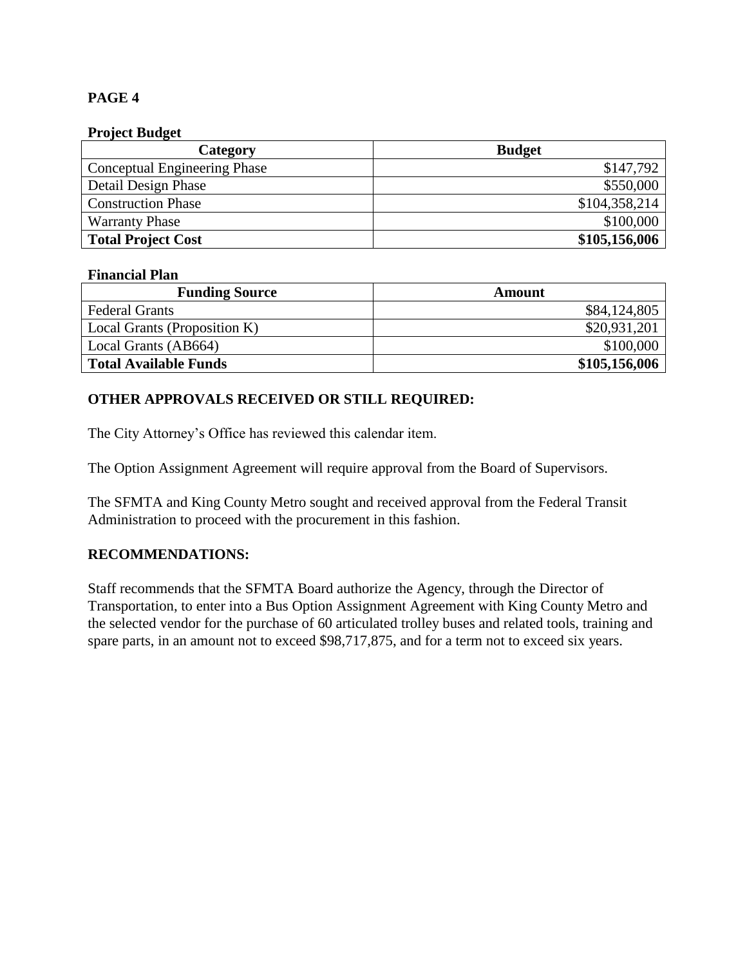## **PAGE 4**

#### **Project Budget**

| Category                            | <b>Budget</b> |
|-------------------------------------|---------------|
| <b>Conceptual Engineering Phase</b> | \$147,792     |
| Detail Design Phase                 | \$550,000     |
| <b>Construction Phase</b>           | \$104,358,214 |
| <b>Warranty Phase</b>               | \$100,000     |
| <b>Total Project Cost</b>           | \$105,156,006 |

#### **Financial Plan**

| <b>Funding Source</b>        | Amount        |
|------------------------------|---------------|
| <b>Federal Grants</b>        | \$84,124,805  |
| Local Grants (Proposition K) | \$20,931,201  |
| Local Grants (AB664)         | \$100,000     |
| <b>Total Available Funds</b> | \$105,156,006 |

## **OTHER APPROVALS RECEIVED OR STILL REQUIRED:**

The City Attorney's Office has reviewed this calendar item.

The Option Assignment Agreement will require approval from the Board of Supervisors.

The SFMTA and King County Metro sought and received approval from the Federal Transit Administration to proceed with the procurement in this fashion.

#### **RECOMMENDATIONS:**

Staff recommends that the SFMTA Board authorize the Agency, through the Director of Transportation, to enter into a Bus Option Assignment Agreement with King County Metro and the selected vendor for the purchase of 60 articulated trolley buses and related tools, training and spare parts, in an amount not to exceed \$98,717,875, and for a term not to exceed six years.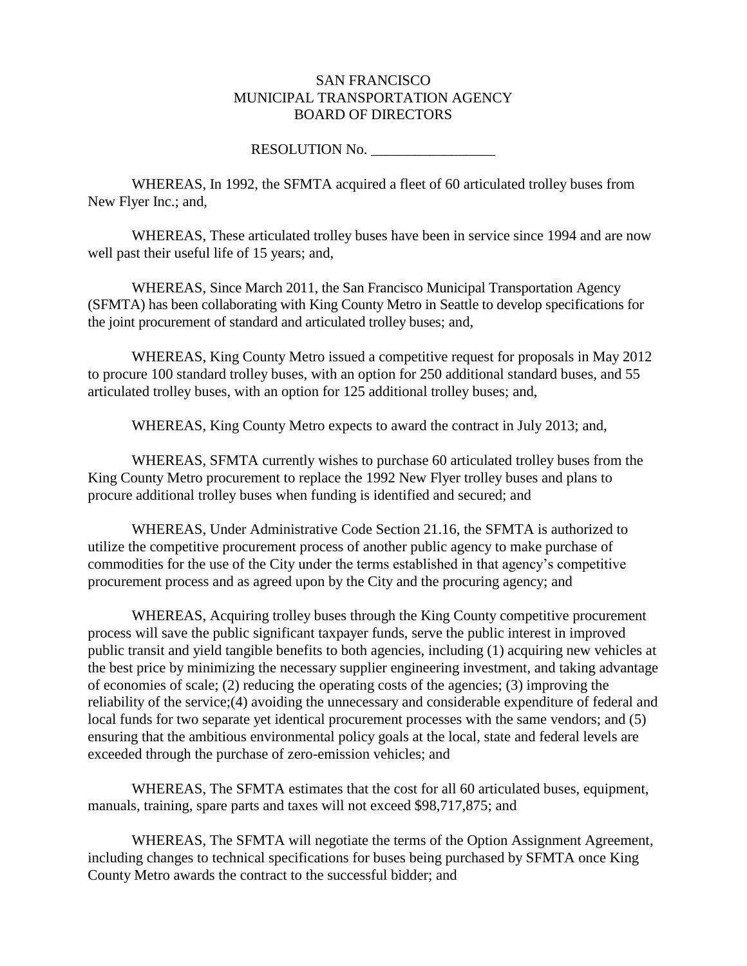#### SAN FRANCISCO MUNICIPAL TRANSPORTATION AGENCY BOARD OF DIRECTORS

#### RESOLUTION No.

WHEREAS, In 1992, the SFMTA acquired a fleet of 60 articulated trolley buses from New Flyer Inc.; and,

WHEREAS, These articulated trolley buses have been in service since 1994 and are now well past their useful life of 15 years; and,

WHEREAS, Since March 2011, the San Francisco Municipal Transportation Agency (SFMTA) has been collaborating with King County Metro in Seattle to develop specifications for the joint procurement of standard and articulated trolley buses; and,

WHEREAS, King County Metro issued a competitive request for proposals in May 2012 to procure 100 standard trolley buses, with an option for 250 additional standard buses, and 55 articulated trolley buses, with an option for 125 additional trolley buses; and,

WHEREAS, King County Metro expects to award the contract in July 2013; and,

WHEREAS, SFMTA currently wishes to purchase 60 articulated trolley buses from the King County Metro procurement to replace the 1992 New Flyer trolley buses and plans to procure additional trolley buses when funding is identified and secured; and

WHEREAS, Under Administrative Code Section 21.16, the SFMTA is authorized to utilize the competitive procurement process of another public agency to make purchase of commodities for the use of the City under the terms established in that agency's competitive procurement process and as agreed upon by the City and the procuring agency; and

WHEREAS, Acquiring trolley buses through the King County competitive procurement process will save the public significant taxpayer funds, serve the public interest in improved public transit and yield tangible benefits to both agencies, including (1) acquiring new vehicles at the best price by minimizing the necessary supplier engineering investment, and taking advantage of economies of scale; (2) reducing the operating costs of the agencies; (3) improving the reliability of the service;(4) avoiding the unnecessary and considerable expenditure of federal and local funds for two separate yet identical procurement processes with the same vendors; and (5) ensuring that the ambitious environmental policy goals at the local, state and federal levels are exceeded through the purchase of zero-emission vehicles; and

WHEREAS, The SFMTA estimates that the cost for all 60 articulated buses, equipment, manuals, training, spare parts and taxes will not exceed \$98,717,875; and

WHEREAS, The SFMTA will negotiate the terms of the Option Assignment Agreement, including changes to technical specifications for buses being purchased by SFMTA once King County Metro awards the contract to the successful bidder; and